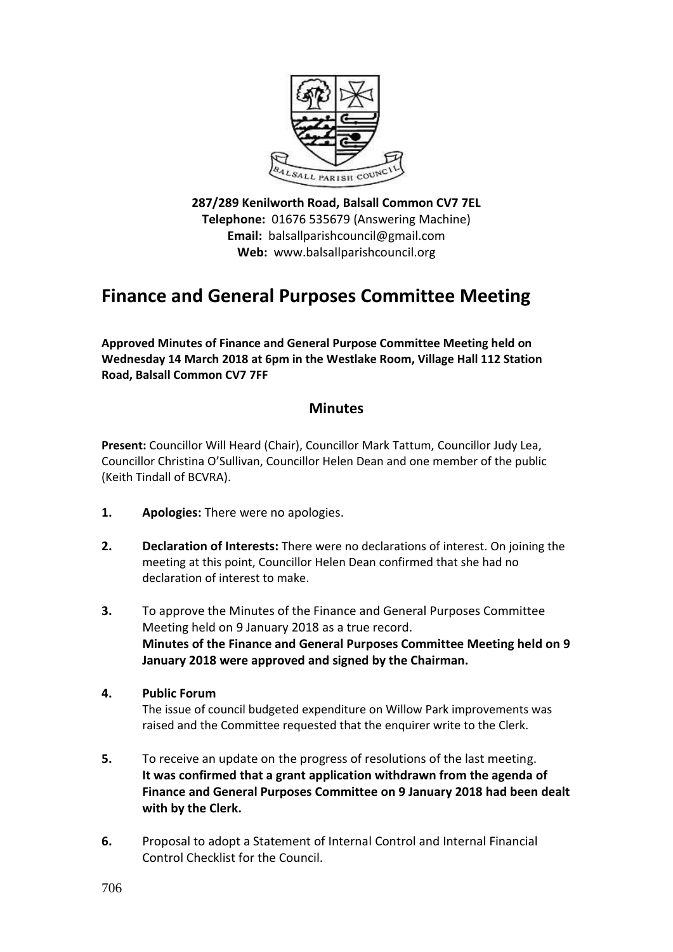

**287/289 Kenilworth Road, Balsall Common CV7 7EL Telephone:** 01676 535679 (Answering Machine) **Email:** balsallparishcouncil@gmail.com **Web:** www.balsallparishcouncil.org

## **Finance and General Purposes Committee Meeting**

**Approved Minutes of Finance and General Purpose Committee Meeting held on Wednesday 14 March 2018 at 6pm in the Westlake Room, Village Hall 112 Station Road, Balsall Common CV7 7FF**

## **Minutes**

**Present:** Councillor Will Heard (Chair), Councillor Mark Tattum, Councillor Judy Lea, Councillor Christina O'Sullivan, Councillor Helen Dean and one member of the public (Keith Tindall of BCVRA).

- **1. Apologies:** There were no apologies.
- **2. Declaration of Interests:** There were no declarations of interest. On joining the meeting at this point, Councillor Helen Dean confirmed that she had no declaration of interest to make.
- **3.** To approve the Minutes of the Finance and General Purposes Committee Meeting held on 9 January 2018 as a true record. **Minutes of the Finance and General Purposes Committee Meeting held on 9 January 2018 were approved and signed by the Chairman.**
- **4. Public Forum**

The issue of council budgeted expenditure on Willow Park improvements was raised and the Committee requested that the enquirer write to the Clerk.

- **5.** To receive an update on the progress of resolutions of the last meeting. **It was confirmed that a grant application withdrawn from the agenda of Finance and General Purposes Committee on 9 January 2018 had been dealt with by the Clerk.**
- **6.** Proposal to adopt a Statement of Internal Control and Internal Financial Control Checklist for the Council.